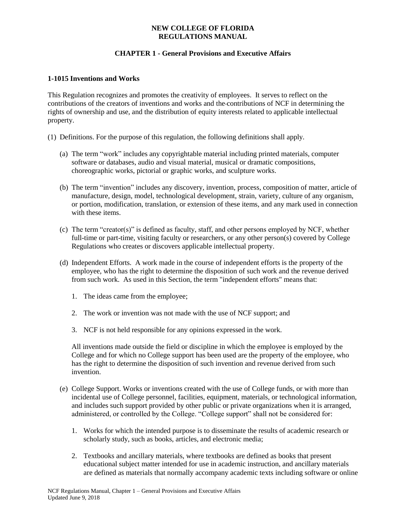### **NEW COLLEGE OF FLORIDA REGULATIONS MANUAL**

# **CHAPTER 1 - General Provisions and Executive Affairs**

### **1-1015 Inventions and Works**

This Regulation recognizes and promotes the creativity of employees. It serves to reflect on the contributions of the creators of inventions and works and the contributions of NCF in determining the rights of ownership and use, and the distribution of equity interests related to applicable intellectual property.

- (1) Definitions. For the purpose of this regulation, the following definitions shall apply.
	- (a) The term "work" includes any copyrightable material including printed materials, computer software or databases, audio and visual material, musical or dramatic compositions, choreographic works, pictorial or graphic works, and sculpture works.
	- (b) The term "invention" includes any discovery, invention, process, composition of matter, article of manufacture, design, model, technological development, strain, variety, culture of any organism, or portion, modification, translation, or extension of these items, and any mark used in connection with these items.
	- (c) The term "creator(s)" is defined as faculty, staff, and other persons employed by NCF, whether full-time or part-time, visiting faculty or researchers, or any other person(s) covered by College Regulations who creates or discovers applicable intellectual property.
	- (d) Independent Efforts. A work made in the course of independent efforts is the property of the employee, who has the right to determine the disposition of such work and the revenue derived from such work. As used in this Section, the term "independent efforts" means that:
		- 1. The ideas came from the employee;
		- 2. The work or invention was not made with the use of NCF support; and
		- 3. NCF is not held responsible for any opinions expressed in the work.

All inventions made outside the field or discipline in which the employee is employed by the College and for which no College support has been used are the property of the employee, who has the right to determine the disposition of such invention and revenue derived from such invention.

- (e) College Support. Works or inventions created with the use of College funds, or with more than incidental use of College personnel, facilities, equipment, materials, or technological information, and includes such support provided by other public or private organizations when it is arranged, administered, or controlled by the College. "College support" shall not be considered for:
	- 1. Works for which the intended purpose is to disseminate the results of academic research or scholarly study, such as books, articles, and electronic media;
	- 2. Textbooks and ancillary materials, where textbooks are defined as books that present educational subject matter intended for use in academic instruction, and ancillary materials are defined as materials that normally accompany academic texts including software or online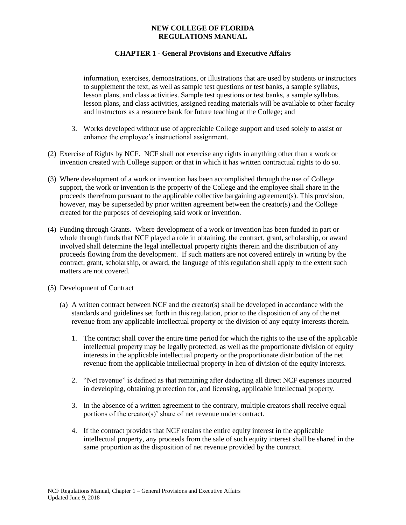### **NEW COLLEGE OF FLORIDA REGULATIONS MANUAL**

## **CHAPTER 1 - General Provisions and Executive Affairs**

information, exercises, demonstrations, or illustrations that are used by students or instructors to supplement the text, as well as sample test questions or test banks, a sample syllabus, lesson plans, and class activities. Sample test questions or test banks, a sample syllabus, lesson plans, and class activities, assigned reading materials will be available to other faculty and instructors as a resource bank for future teaching at the College; and

- 3. Works developed without use of appreciable College support and used solely to assist or enhance the employee's instructional assignment.
- (2) Exercise of Rights by NCF. NCF shall not exercise any rights in anything other than a work or invention created with College support or that in which it has written contractual rights to do so.
- (3) Where development of a work or invention has been accomplished through the use of College support, the work or invention is the property of the College and the employee shall share in the proceeds therefrom pursuant to the applicable collective bargaining agreement(s). This provision, however, may be superseded by prior written agreement between the creator(s) and the College created for the purposes of developing said work or invention.
- (4) Funding through Grants. Where development of a work or invention has been funded in part or whole through funds that NCF played a role in obtaining, the contract, grant, scholarship, or award involved shall determine the legal intellectual property rights therein and the distribution of any proceeds flowing from the development. If such matters are not covered entirely in writing by the contract, grant, scholarship, or award, the language of this regulation shall apply to the extent such matters are not covered.
- (5) Development of Contract
	- (a) A written contract between NCF and the creator(s) shall be developed in accordance with the standards and guidelines set forth in this regulation, prior to the disposition of any of the net revenue from any applicable intellectual property or the division of any equity interests therein.
		- 1. The contract shall cover the entire time period for which the rights to the use of the applicable intellectual property may be legally protected, as well as the proportionate division of equity interests in the applicable intellectual property or the proportionate distribution of the net revenue from the applicable intellectual property in lieu of division of the equity interests.
		- 2. "Net revenue" is defined as that remaining after deducting all direct NCF expenses incurred in developing, obtaining protection for, and licensing, applicable intellectual property.
		- 3. In the absence of a written agreement to the contrary, multiple creators shall receive equal portions of the creator(s)' share of net revenue under contract.
		- 4. If the contract provides that NCF retains the entire equity interest in the applicable intellectual property, any proceeds from the sale of such equity interest shall be shared in the same proportion as the disposition of net revenue provided by the contract.